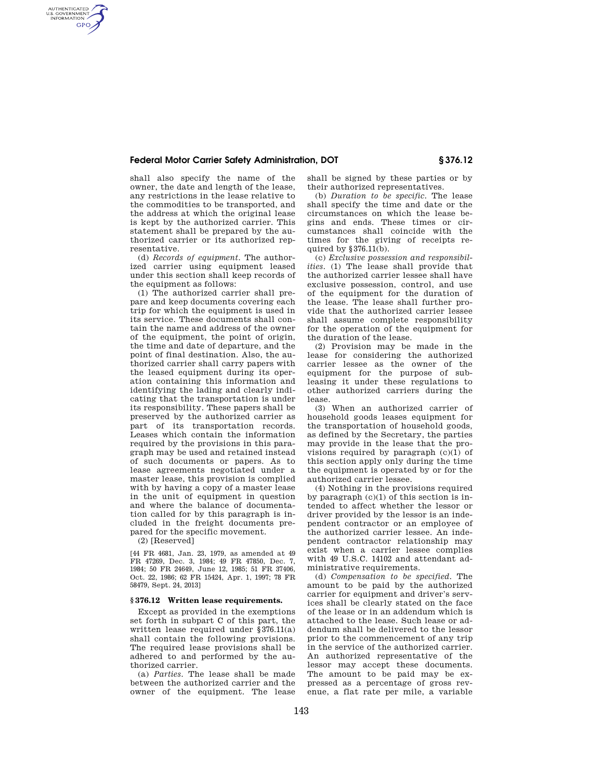### **Federal Motor Carrier Safety Administration, DOT § 376.12**

shall also specify the name of the owner, the date and length of the lease, any restrictions in the lease relative to the commodities to be transported, and the address at which the original lease is kept by the authorized carrier. This statement shall be prepared by the authorized carrier or its authorized representative.

AUTHENTICATED<br>U.S. GOVERNMENT<br>INFORMATION **GPO** 

> (d) *Records of equipment.* The authorized carrier using equipment leased under this section shall keep records of the equipment as follows:

(1) The authorized carrier shall prepare and keep documents covering each trip for which the equipment is used in its service. These documents shall contain the name and address of the owner of the equipment, the point of origin, the time and date of departure, and the point of final destination. Also, the authorized carrier shall carry papers with the leased equipment during its operation containing this information and identifying the lading and clearly indicating that the transportation is under its responsibility. These papers shall be preserved by the authorized carrier as part of its transportation records. Leases which contain the information required by the provisions in this paragraph may be used and retained instead of such documents or papers. As to lease agreements negotiated under a master lease, this provision is complied with by having a copy of a master lease in the unit of equipment in question and where the balance of documentation called for by this paragraph is included in the freight documents prepared for the specific movement.

(2) [Reserved]

[44 FR 4681, Jan. 23, 1979, as amended at 49 FR 47269, Dec. 3, 1984; 49 FR 47850, Dec. 7, 1984; 50 FR 24649, June 12, 1985; 51 FR 37406, Oct. 22, 1986; 62 FR 15424, Apr. 1, 1997; 78 FR 58479, Sept. 24, 2013]

# **§ 376.12 Written lease requirements.**

Except as provided in the exemptions set forth in subpart C of this part, the written lease required under §376.11(a) shall contain the following provisions. The required lease provisions shall be adhered to and performed by the authorized carrier.

(a) *Parties.* The lease shall be made between the authorized carrier and the owner of the equipment. The lease shall be signed by these parties or by their authorized representatives.

(b) *Duration to be specific.* The lease shall specify the time and date or the circumstances on which the lease begins and ends. These times or circumstances shall coincide with the times for the giving of receipts required by §376.11(b).

(c) *Exclusive possession and responsibilities.* (1) The lease shall provide that the authorized carrier lessee shall have exclusive possession, control, and use of the equipment for the duration of the lease. The lease shall further provide that the authorized carrier lessee shall assume complete responsibility for the operation of the equipment for the duration of the lease.

(2) Provision may be made in the lease for considering the authorized carrier lessee as the owner of the equipment for the purpose of subleasing it under these regulations to other authorized carriers during the lease.

(3) When an authorized carrier of household goods leases equipment for the transportation of household goods, as defined by the Secretary, the parties may provide in the lease that the provisions required by paragraph  $(c)(1)$  of this section apply only during the time the equipment is operated by or for the authorized carrier lessee.

(4) Nothing in the provisions required by paragraph (c)(1) of this section is intended to affect whether the lessor or driver provided by the lessor is an independent contractor or an employee of the authorized carrier lessee. An independent contractor relationship may exist when a carrier lessee complies with 49 U.S.C. 14102 and attendant administrative requirements.

(d) *Compensation to be specified.* The amount to be paid by the authorized carrier for equipment and driver's services shall be clearly stated on the face of the lease or in an addendum which is attached to the lease. Such lease or addendum shall be delivered to the lessor prior to the commencement of any trip in the service of the authorized carrier. An authorized representative of the lessor may accept these documents. The amount to be paid may be expressed as a percentage of gross revenue, a flat rate per mile, a variable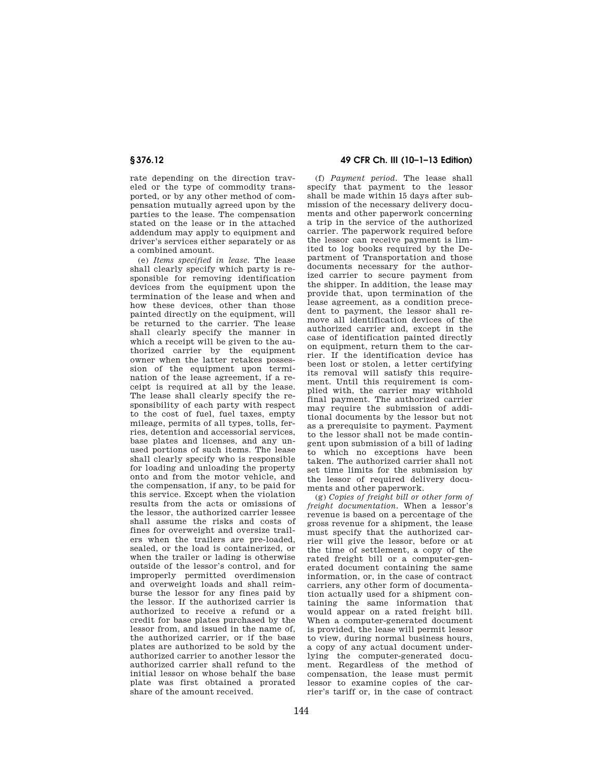rate depending on the direction traveled or the type of commodity transported, or by any other method of compensation mutually agreed upon by the parties to the lease. The compensation stated on the lease or in the attached addendum may apply to equipment and driver's services either separately or as a combined amount.

(e) *Items specified in lease.* The lease shall clearly specify which party is responsible for removing identification devices from the equipment upon the termination of the lease and when and how these devices, other than those painted directly on the equipment, will be returned to the carrier. The lease shall clearly specify the manner in which a receipt will be given to the authorized carrier by the equipment owner when the latter retakes possession of the equipment upon termination of the lease agreement, if a receipt is required at all by the lease. The lease shall clearly specify the responsibility of each party with respect to the cost of fuel, fuel taxes, empty mileage, permits of all types, tolls, ferries, detention and accessorial services, base plates and licenses, and any unused portions of such items. The lease shall clearly specify who is responsible for loading and unloading the property onto and from the motor vehicle, and the compensation, if any, to be paid for this service. Except when the violation results from the acts or omissions of the lessor, the authorized carrier lessee shall assume the risks and costs of fines for overweight and oversize trailers when the trailers are pre-loaded, sealed, or the load is containerized, or when the trailer or lading is otherwise outside of the lessor's control, and for improperly permitted overdimension and overweight loads and shall reimburse the lessor for any fines paid by the lessor. If the authorized carrier is authorized to receive a refund or a credit for base plates purchased by the lessor from, and issued in the name of, the authorized carrier, or if the base plates are authorized to be sold by the authorized carrier to another lessor the authorized carrier shall refund to the initial lessor on whose behalf the base plate was first obtained a prorated share of the amount received.

## **§ 376.12 49 CFR Ch. III (10–1–13 Edition)**

(f) *Payment period.* The lease shall specify that payment to the lessor shall be made within 15 days after submission of the necessary delivery documents and other paperwork concerning a trip in the service of the authorized carrier. The paperwork required before the lessor can receive payment is limited to log books required by the Department of Transportation and those documents necessary for the authorized carrier to secure payment from the shipper. In addition, the lease may provide that, upon termination of the lease agreement, as a condition precedent to payment, the lessor shall remove all identification devices of the authorized carrier and, except in the case of identification painted directly on equipment, return them to the carrier. If the identification device has been lost or stolen, a letter certifying its removal will satisfy this requirement. Until this requirement is complied with, the carrier may withhold final payment. The authorized carrier may require the submission of additional documents by the lessor but not as a prerequisite to payment. Payment to the lessor shall not be made contingent upon submission of a bill of lading to which no exceptions have been taken. The authorized carrier shall not set time limits for the submission by the lessor of required delivery documents and other paperwork.

(g) *Copies of freight bill or other form of freight documentation.* When a lessor's revenue is based on a percentage of the gross revenue for a shipment, the lease must specify that the authorized carrier will give the lessor, before or at the time of settlement, a copy of the rated freight bill or a computer-generated document containing the same information, or, in the case of contract carriers, any other form of documentation actually used for a shipment containing the same information that would appear on a rated freight bill. When a computer-generated document is provided, the lease will permit lessor to view, during normal business hours, a copy of any actual document underlying the computer-generated document. Regardless of the method of compensation, the lease must permit lessor to examine copies of the carrier's tariff or, in the case of contract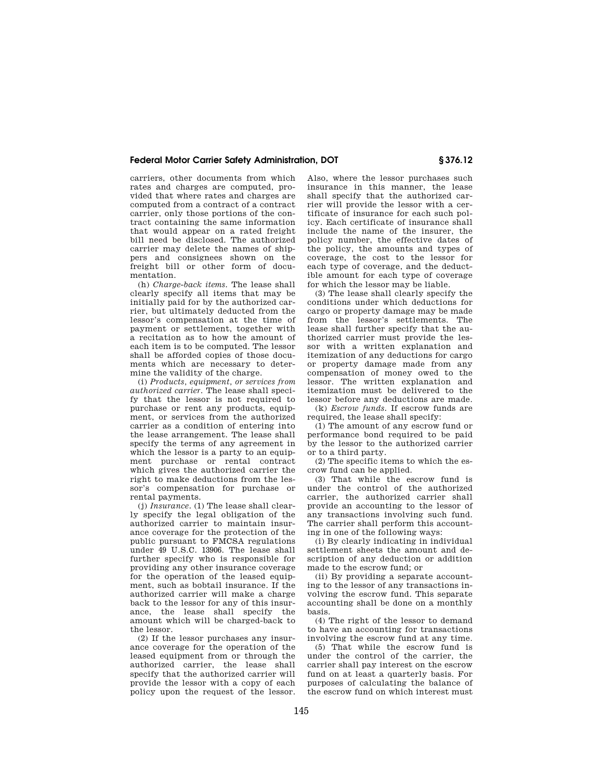## **Federal Motor Carrier Safety Administration, DOT § 376.12**

carriers, other documents from which rates and charges are computed, provided that where rates and charges are computed from a contract of a contract carrier, only those portions of the contract containing the same information that would appear on a rated freight bill need be disclosed. The authorized carrier may delete the names of shippers and consignees shown on the freight bill or other form of documentation.

(h) *Charge-back items.* The lease shall clearly specify all items that may be initially paid for by the authorized carrier, but ultimately deducted from the lessor's compensation at the time of payment or settlement, together with a recitation as to how the amount of each item is to be computed. The lessor shall be afforded copies of those documents which are necessary to determine the validity of the charge.

(i) *Products, equipment, or services from authorized carrier.* The lease shall specify that the lessor is not required to purchase or rent any products, equipment, or services from the authorized carrier as a condition of entering into the lease arrangement. The lease shall specify the terms of any agreement in which the lessor is a party to an equipment purchase or rental contract which gives the authorized carrier the right to make deductions from the lessor's compensation for purchase or rental payments.

(j) *Insurance.* (1) The lease shall clearly specify the legal obligation of the authorized carrier to maintain insurance coverage for the protection of the public pursuant to FMCSA regulations under 49 U.S.C. 13906. The lease shall further specify who is responsible for providing any other insurance coverage for the operation of the leased equipment, such as bobtail insurance. If the authorized carrier will make a charge back to the lessor for any of this insurance, the lease shall specify the amount which will be charged-back to the lessor.

(2) If the lessor purchases any insurance coverage for the operation of the leased equipment from or through the authorized carrier, the lease shall specify that the authorized carrier will provide the lessor with a copy of each policy upon the request of the lessor. Also, where the lessor purchases such insurance in this manner, the lease shall specify that the authorized carrier will provide the lessor with a certificate of insurance for each such policy. Each certificate of insurance shall include the name of the insurer, the policy number, the effective dates of the policy, the amounts and types of coverage, the cost to the lessor for each type of coverage, and the deductible amount for each type of coverage for which the lessor may be liable.

(3) The lease shall clearly specify the conditions under which deductions for cargo or property damage may be made from the lessor's settlements. The lease shall further specify that the authorized carrier must provide the lessor with a written explanation and itemization of any deductions for cargo or property damage made from any compensation of money owed to the lessor. The written explanation and itemization must be delivered to the lessor before any deductions are made.

(k) *Escrow funds.* If escrow funds are required, the lease shall specify:

(1) The amount of any escrow fund or performance bond required to be paid by the lessor to the authorized carrier or to a third party.

(2) The specific items to which the escrow fund can be applied.

(3) That while the escrow fund is under the control of the authorized carrier, the authorized carrier shall provide an accounting to the lessor of any transactions involving such fund. The carrier shall perform this accounting in one of the following ways:

(i) By clearly indicating in individual settlement sheets the amount and description of any deduction or addition made to the escrow fund; or

(ii) By providing a separate accounting to the lessor of any transactions involving the escrow fund. This separate accounting shall be done on a monthly basis.

(4) The right of the lessor to demand to have an accounting for transactions involving the escrow fund at any time.

(5) That while the escrow fund is under the control of the carrier, the carrier shall pay interest on the escrow fund on at least a quarterly basis. For purposes of calculating the balance of the escrow fund on which interest must